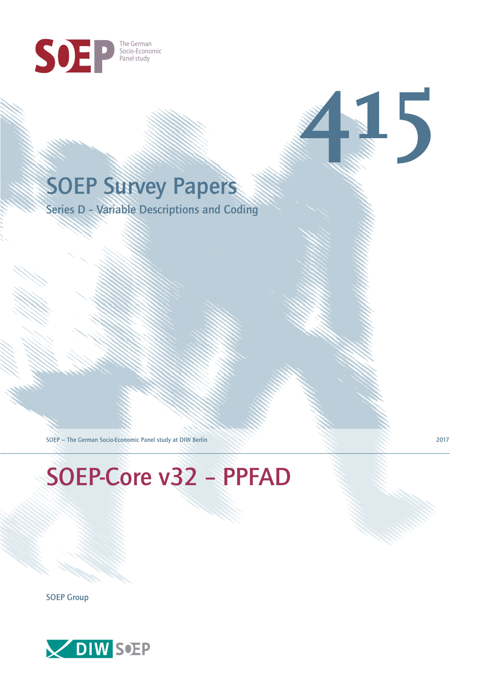

## SOEP Survey Papers

Series D – Variable Descriptions and Coding

SOEP — The German Socio-Economic Panel study at DIW Berlin 2017

# SOEP-Core v32 – PPFAD

SOEP Group



**415**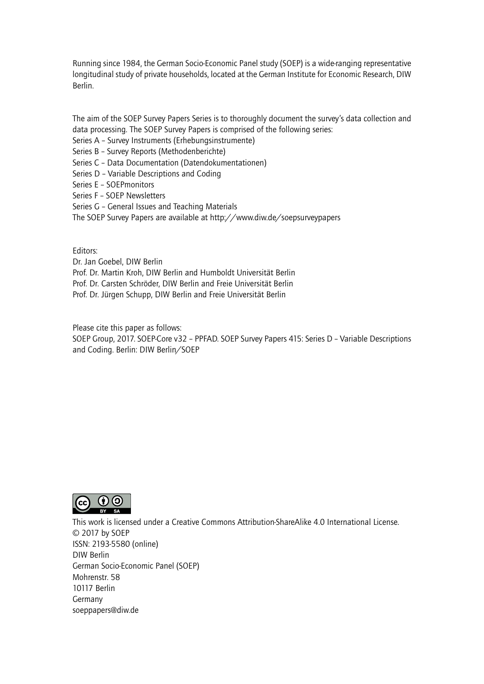Running since 1984, the German Socio-Economic Panel study (SOEP) is a wide-ranging representative longitudinal study of private households, located at the German Institute for Economic Research, DIW Berlin.

The aim of the SOEP Survey Papers Series is to thoroughly document the survey's data collection and data processing. The SOEP Survey Papers is comprised of the following series:

- Series A Survey Instruments (Erhebungsinstrumente)
- Series B Survey Reports (Methodenberichte)
- Series C Data Documentation (Datendokumentationen)
- Series D Variable Descriptions and Coding
- Series E SOEPmonitors
- Series F SOEP Newsletters
- Series G General Issues and Teaching Materials
- The SOEP Survey Papers are available at http://www.diw.de/soepsurveypapers

Editors:

Dr. Jan Goebel, DIW Berlin

- Prof. Dr. Martin Kroh, DIW Berlin and Humboldt Universität Berlin
- Prof. Dr. Carsten Schröder, DIW Berlin and Freie Universität Berlin
- Prof. Dr. Jürgen Schupp, DIW Berlin and Freie Universität Berlin

Please cite this paper as follows:

SOEP Group, 2017. SOEP-Core v32 – PPFAD. SOEP Survey Papers 415: Series D – Variable Descriptions and Coding. Berlin: DIW Berlin/SOEP



This work is licensed under a Creative Commons Attribution-ShareAlike 4.0 International License. © 2017 by SOEP ISSN: 2193-5580 (online) DIW Berlin German Socio-Economic Pan[el \(SOEP\)](http://creativecommons.org/licenses/by-sa/4.0/) Mohrenstr. 58 10117 Berlin Germany soeppapers@diw.de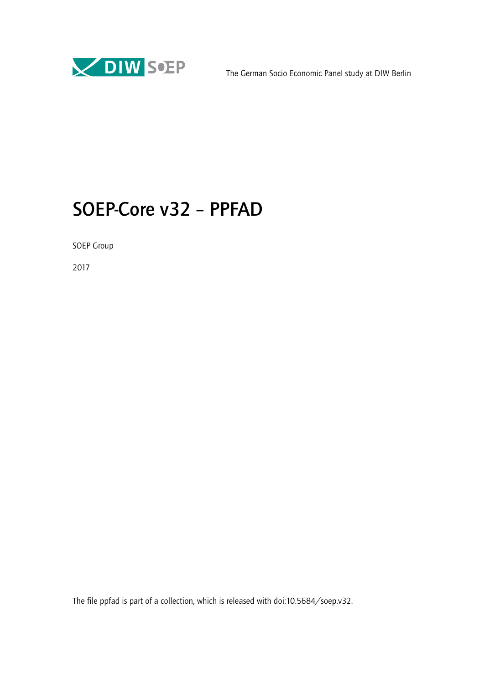

### SOEP-Core v32 – PPFAD

SOEP Group

2017

The file ppfad is part of a collection, which is released with doi:10.5684/soep.v32.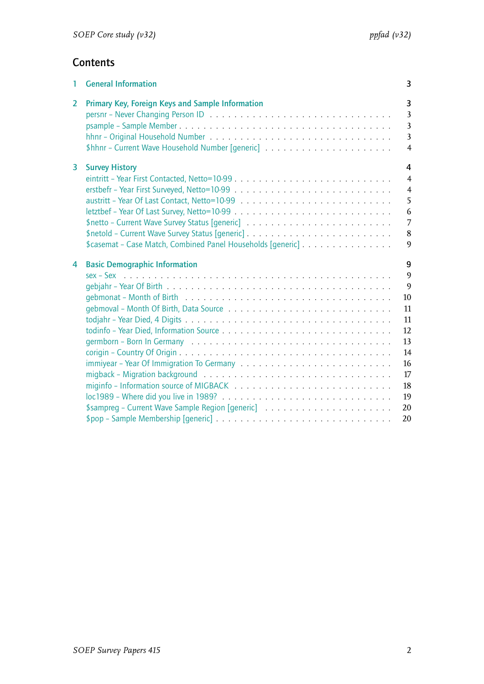#### **Contents**

| 1 | <b>General Information</b>                                                           | 3                                                                                              |
|---|--------------------------------------------------------------------------------------|------------------------------------------------------------------------------------------------|
| 2 | Primary Key, Foreign Keys and Sample Information                                     | $\overline{3}$<br>$\overline{3}$<br>$\overline{3}$<br>$\overline{3}$<br>$\overline{4}$         |
| 3 | <b>Survey History</b><br>\$casemat - Case Match, Combined Panel Households [generic] | 4<br>$\overline{4}$<br>$\overline{4}$<br>5<br>6<br>$\overline{7}$<br>$\bf 8$<br>$\overline{9}$ |
| 4 | <b>Basic Demographic Information</b>                                                 | 9<br>9<br>9<br>10<br>11<br>11<br>12<br>13<br>14<br>16<br>17<br>18<br>19<br>20                  |
|   |                                                                                      | 20                                                                                             |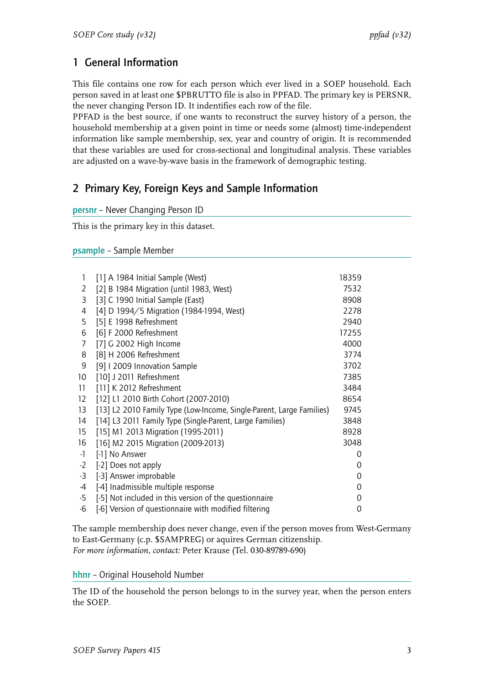#### <span id="page-4-0"></span>1 General Information

This file contains one row for each person which ever lived in a SOEP household. Each person saved in at least one \$PBRUTTO file is also in PPFAD. The primary key is PERSNR, the never changing Person ID. It indentifies each row of the file.

PPFAD is the best source, if one wants to reconstruct the survey history of a person, the household membership at a given point in time or needs some (almost) time-independent information like sample membership, sex, year and country of origin. It is recommended that these variables are used for cross-sectional and longitudinal analysis. These variables are adjusted on a wave-by-wave basis in the framework of demographic testing.

#### <span id="page-4-1"></span>2 Primary Key, Foreign Keys and Sample Information

<span id="page-4-2"></span>

| persnr - Never Changing Person ID |  |  |  |
|-----------------------------------|--|--|--|
|-----------------------------------|--|--|--|

This is the primary key in this dataset.

#### <span id="page-4-3"></span>psample – Sample Member

| [1] A 1984 Initial Sample (West)                                     | 18359 |  |
|----------------------------------------------------------------------|-------|--|
| [2] B 1984 Migration (until 1983, West)                              | 7532  |  |
| [3] C 1990 Initial Sample (East)                                     | 8908  |  |
| [4] D 1994/5 Migration (1984-1994, West)                             | 2278  |  |
| [5] E 1998 Refreshment                                               | 2940  |  |
| [6] F 2000 Refreshment                                               | 17255 |  |
| [7] G 2002 High Income                                               | 4000  |  |
| [8] H 2006 Refreshment                                               | 3774  |  |
| [9] I 2009 Innovation Sample                                         | 3702  |  |
| [10] J 2011 Refreshment                                              | 7385  |  |
| [11] K 2012 Refreshment                                              | 3484  |  |
| [12] L1 2010 Birth Cohort (2007-2010)                                | 8654  |  |
| [13] L2 2010 Family Type (Low-Income, Single-Parent, Large Families) | 9745  |  |
| [14] L3 2011 Family Type (Single-Parent, Large Families)             | 3848  |  |
| [15] M1 2013 Migration (1995-2011)                                   | 8928  |  |
| [16] M2 2015 Migration (2009-2013)                                   | 3048  |  |
| [-1] No Answer                                                       | 0     |  |
| [-2] Does not apply                                                  | 0     |  |
| [-3] Answer improbable                                               | 0     |  |
| [-4] Inadmissible multiple response                                  | 0     |  |
| [-5] Not included in this version of the questionnaire               | 0     |  |
| [-6] Version of questionnaire with modified filtering                | 0     |  |
|                                                                      |       |  |

The sample membership does never change, even if the person moves from West-Germany to East-Germany (c.p. \$SAMPREG) or aquires German citizenship. *For more information, contact:* Peter Krause (Tel. 030-89789-690)

<span id="page-4-4"></span>hhnr – Original Household Number

The ID of the household the person belongs to in the survey year, when the person enters the SOEP.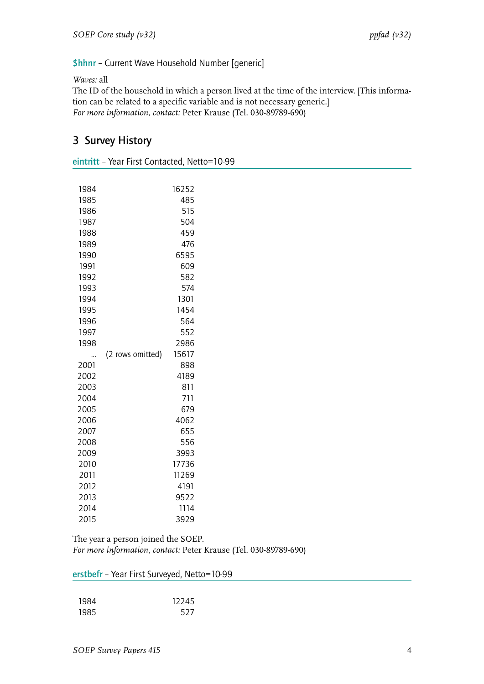#### <span id="page-5-0"></span>\$hhnr – Current Wave Household Number [generic]

#### *Waves:* all

The ID of the household in which a person lived at the time of the interview. [This information can be related to a specific variable and is not necessary generic.] *For more information, contact:* Peter Krause (Tel. 030-89789-690)

#### <span id="page-5-1"></span>3 Survey History

<span id="page-5-2"></span>

|  |  |  |  | eintritt - Year First Contacted, Netto=10-99 |
|--|--|--|--|----------------------------------------------|
|--|--|--|--|----------------------------------------------|

| 1984 |                  | 16252 |
|------|------------------|-------|
| 1985 |                  | 485   |
| 1986 |                  | 515   |
| 1987 |                  | 504   |
| 1988 |                  | 459   |
| 1989 |                  | 476   |
| 1990 |                  | 6595  |
| 1991 |                  | 609   |
| 1992 |                  | 582   |
| 1993 |                  | 574   |
| 1994 |                  | 1301  |
| 1995 |                  | 1454  |
| 1996 |                  | 564   |
| 1997 |                  | 552   |
| 1998 |                  | 2986  |
|      | (2 rows omitted) | 15617 |
| 2001 |                  | 898   |
| 2002 |                  | 4189  |
| 2003 |                  | 811   |
| 2004 |                  | 711   |
| 2005 |                  | 679   |
| 2006 |                  | 4062  |
| 2007 |                  | 655   |
| 2008 |                  | 556   |
| 2009 |                  | 3993  |
| 2010 |                  | 17736 |
| 2011 |                  | 11269 |
| 2012 |                  | 4191  |
| 2013 |                  | 9522  |
| 2014 |                  | 1114  |
| 2015 |                  | 3929  |

The year a person joined the SOEP. *For more information, contact:* Peter Krause (Tel. 030-89789-690)

<span id="page-5-3"></span>

| erstbefr - Year First Surveyed, Netto=10-99 |  |  |
|---------------------------------------------|--|--|
|---------------------------------------------|--|--|

| 1984 | 12245 |
|------|-------|
| 1985 | 527   |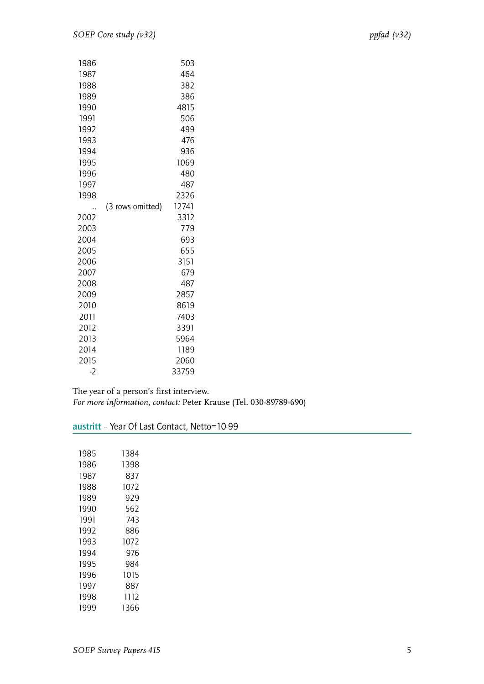| 1986 |                  | 503   |
|------|------------------|-------|
| 1987 |                  | 464   |
| 1988 |                  | 382   |
| 1989 |                  | 386   |
| 1990 |                  | 4815  |
| 1991 |                  | 506   |
| 1992 |                  | 499   |
| 1993 |                  | 476   |
| 1994 |                  | 936   |
| 1995 |                  | 1069  |
| 1996 |                  | 480   |
| 1997 |                  | 487   |
| 1998 |                  | 2326  |
|      | (3 rows omitted) | 12741 |
| 2002 |                  | 3312  |
| 2003 |                  | 779   |
| 2004 |                  | 693   |
| 2005 |                  | 655   |
| 2006 |                  | 3151  |
| 2007 |                  | 679   |
| 2008 |                  | 487   |
| 2009 |                  | 2857  |
| 2010 |                  | 8619  |
| 2011 |                  | 7403  |
| 2012 |                  | 3391  |
| 2013 |                  | 5964  |
| 2014 |                  | 1189  |
| 2015 |                  |       |
|      |                  | 2060  |

The year of a person's first interview.

*For more information, contact:* Peter Krause (Tel. 030-89789-690)

<span id="page-6-0"></span>

| austritt - Year Of Last Contact, Netto=10-99 |  |  |  |
|----------------------------------------------|--|--|--|
|                                              |  |  |  |

| 1985 | 1384 |
|------|------|
| 1986 | 1398 |
| 1987 | 837  |
| 1988 | 1072 |
| 1989 | 929  |
| 1990 | 562  |
| 1991 | 743  |
| 1992 | 886  |
| 1993 | 1072 |
| 1994 | 976  |
| 1995 | 984  |
| 1996 | 1015 |
| 1997 | 887  |
| 1998 | 1112 |
| 1999 | 1366 |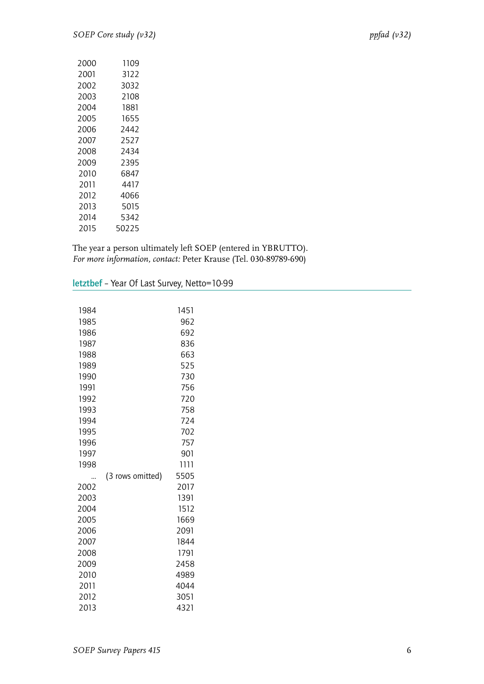| 2000 | 1109  |
|------|-------|
| 2001 | 3122  |
| 2002 | 3032  |
| 2003 | 2108  |
| 2004 | 1881  |
| 2005 | 1655  |
| 2006 | 2442  |
| 2007 | 2527  |
| 2008 | 2434  |
| 2009 | 2395  |
| 2010 | 6847  |
| 2011 | 4417  |
| 2012 | 4066  |
| 2013 | 5015  |
| 2014 | 5342  |
| 2015 | 50225 |

The year a person ultimately left SOEP (entered in YBRUTTO). *For more information, contact:* Peter Krause (Tel. 030-89789-690)

<span id="page-7-0"></span>letztbef – Year Of Last Survey, Netto=10-99

| 1984 |                  | 1451 |
|------|------------------|------|
| 1985 |                  | 962  |
| 1986 |                  | 692  |
| 1987 |                  | 836  |
| 1988 |                  | 663  |
| 1989 |                  | 525  |
| 1990 |                  | 730  |
| 1991 |                  | 756  |
| 1992 |                  | 720  |
| 1993 |                  | 758  |
| 1994 |                  | 724  |
| 1995 |                  | 702  |
| 1996 |                  | 757  |
| 1997 |                  | 901  |
| 1998 |                  | 1111 |
|      | (3 rows omitted) | 5505 |
| 2002 |                  | 2017 |
| 2003 |                  | 1391 |
| 2004 |                  | 1512 |
| 2005 |                  | 1669 |
| 2006 |                  | 2091 |
| 2007 |                  | 1844 |
| 2008 |                  | 1791 |
| 2009 |                  | 2458 |
| 2010 |                  | 4989 |
| 2011 |                  | 4044 |
| 2012 |                  | 3051 |
| 2013 |                  | 4321 |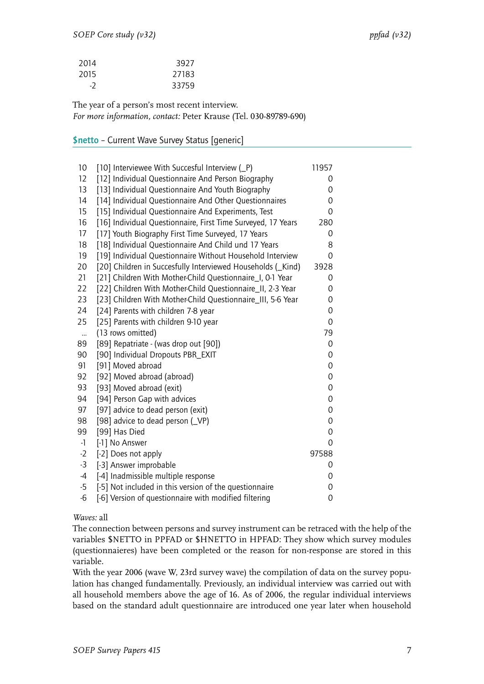| 2014 | 3927  |
|------|-------|
| 2015 | 27183 |
| -2   | 33759 |

The year of a person's most recent interview. *For more information, contact:* Peter Krause (Tel. 030-89789-690)

#### <span id="page-8-0"></span>\$netto – Current Wave Survey Status [generic]

| 10        | [10] Interviewee With Succesful Interview (P)                | 11957       |
|-----------|--------------------------------------------------------------|-------------|
| 12        | [12] Individual Questionnaire And Person Biography           | 0           |
| 13        | [13] Individual Questionnaire And Youth Biography            | 0           |
| 14        | [14] Individual Questionnaire And Other Questionnaires       | 0           |
| 15        | [15] Individual Questionnaire And Experiments, Test          | 0           |
| 16        | [16] Individual Questionnaire, First Time Surveyed, 17 Years | 280         |
| 17        | [17] Youth Biography First Time Surveyed, 17 Years           | 0           |
| 18        | [18] Individual Questionnaire And Child und 17 Years         | 8           |
| 19        | [19] Individual Questionnaire Without Household Interview    | 0           |
| 20        | [20] Children in Succesfully Interviewed Households (_Kind)  | 3928        |
| 21        | [21] Children With Mother-Child Questionnaire_I, 0-1 Year    | 0           |
| 22        | [22] Children With Mother-Child Questionnaire_II, 2-3 Year   | 0           |
| 23        | [23] Children With Mother-Child Questionnaire_III, 5-6 Year  | 0           |
| 24        | [24] Parents with children 7-8 year                          | 0           |
| 25        | [25] Parents with children 9-10 year                         | $\mathbf 0$ |
| $\ddotsc$ | (13 rows omitted)                                            | 79          |
| 89        | [89] Repatriate - (was drop out [90])                        | 0           |
| 90        | [90] Individual Dropouts PBR_EXIT                            | 0           |
| 91        | [91] Moved abroad                                            | 0           |
| 92        | [92] Moved abroad (abroad)                                   | 0           |
| 93        | [93] Moved abroad (exit)                                     | 0           |
| 94        | [94] Person Gap with advices                                 | 0           |
| 97        | [97] advice to dead person (exit)                            | 0           |
| 98        | [98] advice to dead person (VP)                              | 0           |
| 99        | [99] Has Died                                                | 0           |
| $-1$      | [-1] No Answer                                               | 0           |
| $-2$      | [-2] Does not apply                                          | 97588       |
| $-3$      | [-3] Answer improbable                                       | 0           |
| $-4$      | [-4] Inadmissible multiple response                          | 0           |
| $-5$      | [-5] Not included in this version of the questionnaire       | 0           |
| $-6$      | [-6] Version of questionnaire with modified filtering        | 0           |
|           |                                                              |             |

*Waves:* all

The connection between persons and survey instrument can be retraced with the help of the variables \$NETTO in PPFAD or \$HNETTO in HPFAD: They show which survey modules (questionnaieres) have been completed or the reason for non-response are stored in this variable.

With the year 2006 (wave W, 23rd survey wave) the compilation of data on the survey population has changed fundamentally. Previously, an individual interview was carried out with all household members above the age of 16. As of 2006, the regular individual interviews based on the standard adult questionnaire are introduced one year later when household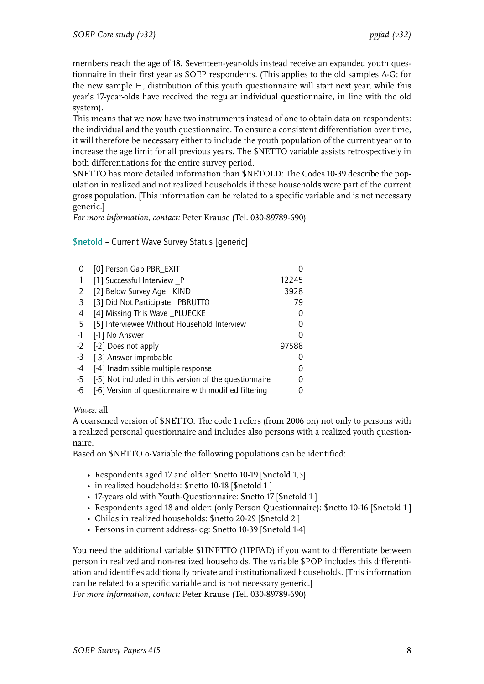members reach the age of 18. Seventeen-year-olds instead receive an expanded youth questionnaire in their first year as SOEP respondents. (This applies to the old samples A-G; for the new sample H, distribution of this youth questionnaire will start next year, while this year's 17-year-olds have received the regular individual questionnaire, in line with the old system).

This means that we now have two instruments instead of one to obtain data on respondents: the individual and the youth questionnaire. To ensure a consistent differentiation over time, it will therefore be necessary either to include the youth population of the current year or to increase the age limit for all previous years. The \$NETTO variable assists retrospectively in both differentiations for the entire survey period.

\$NETTO has more detailed information than \$NETOLD: The Codes 10-39 describe the population in realized and not realized households if these households were part of the current gross population. [This information can be related to a specific variable and is not necessary generic.]

*For more information, contact:* Peter Krause (Tel. 030-89789-690)

<span id="page-9-0"></span>\$netold – Current Wave Survey Status [generic]

|      | [0] Person Gap PBR_EXIT                                |       |
|------|--------------------------------------------------------|-------|
|      | [1] Successful Interview _P                            | 12245 |
| 2    | [2] Below Survey Age _KIND                             | 3928  |
| 3    | [3] Did Not Participate _PBRUTTO                       | 79    |
| 4    | [4] Missing This Wave _PLUECKE                         |       |
| 5    | [5] Interviewee Without Household Interview            |       |
| $-1$ | [-1] No Answer                                         |       |
| $-2$ | [-2] Does not apply                                    | 97588 |
| $-3$ | [-3] Answer improbable                                 |       |
| -4   | [-4] Inadmissible multiple response                    |       |
| -5   | [-5] Not included in this version of the questionnaire |       |
| -6   | [-6] Version of questionnaire with modified filtering  |       |

#### *Waves:* all

A coarsened version of \$NETTO. The code 1 refers (from 2006 on) not only to persons with a realized personal questionnaire and includes also persons with a realized youth questionnaire.

Based on \$NETTO o-Variable the following populations can be identified:

- Respondents aged 17 and older: \$netto 10-19 [\$netold 1,5]
- in realized houdeholds: \$netto 10-18 [\$netold 1 ]
- 17-years old with Youth-Questionnaire: \$netto 17 [\$netold 1 ]
- Respondents aged 18 and older: (only Person Questionnaire): \$netto 10-16 [\$netold 1 ]
- Childs in realized households: \$netto 20-29 [\$netold 2 ]
- Persons in current address-log: \$netto 10-39 [\$netold 1-4]

You need the additional variable \$HNETTO (HPFAD) if you want to differentiate between person in realized and non-realized households. The variable \$POP includes this differentiation and identifies additionally private and institutionalized households. [This information can be related to a specific variable and is not necessary generic.]

*For more information, contact:* Peter Krause (Tel. 030-89789-690)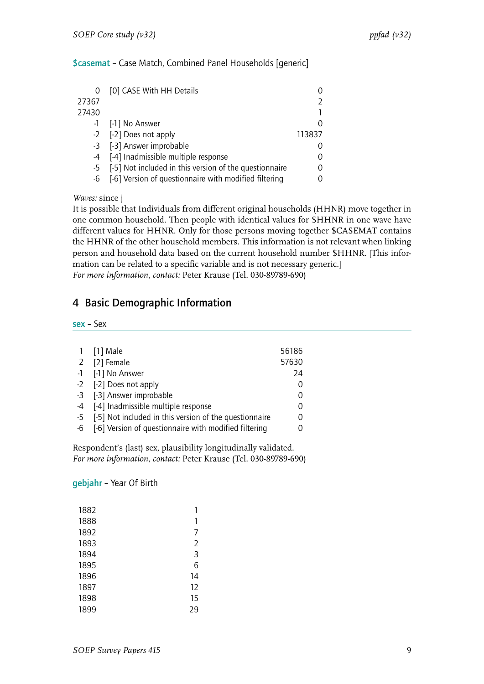#### <span id="page-10-0"></span>\$casemat – Case Match, Combined Panel Households [generic]

| 0     | [0] CASE With HH Details                               |        |
|-------|--------------------------------------------------------|--------|
| 27367 |                                                        |        |
| 27430 |                                                        |        |
|       | -1 [-1] No Answer                                      |        |
|       | -2 [-2] Does not apply                                 | 113837 |
|       | -3 [-3] Answer improbable                              |        |
|       | -4 [-4] Inadmissible multiple response                 |        |
| -5    | [-5] Not included in this version of the questionnaire |        |
| -6    | [-6] Version of questionnaire with modified filtering  |        |

*Waves:* since j

It is possible that Individuals from different original households (HHNR) move together in one common household. Then people with identical values for \$HHNR in one wave have different values for HHNR. Only for those persons moving together \$CASEMAT contains the HHNR of the other household members. This information is not relevant when linking person and household data based on the current household number \$HHNR. [This information can be related to a specific variable and is not necessary generic.] *For more information, contact:* Peter Krause (Tel. 030-89789-690)

#### <span id="page-10-1"></span>4 Basic Demographic Information

<span id="page-10-2"></span>sex – Sex

|    | 1 [1] Male                                                | 56186    |
|----|-----------------------------------------------------------|----------|
|    | 2 [2] Female                                              | 57630    |
|    | -1 [-1] No Answer                                         | 24       |
|    | -2 [-2] Does not apply                                    | 0        |
|    | -3 [-3] Answer improbable                                 | 0        |
|    | -4 [-4] Inadmissible multiple response                    | 0        |
|    | -5 [-5] Not included in this version of the questionnaire | 0        |
| -6 | [-6] Version of questionnaire with modified filtering     | $\Omega$ |

Respondent's (last) sex, plausibility longitudinally validated. *For more information, contact:* Peter Krause (Tel. 030-89789-690)

<span id="page-10-3"></span>gebjahr – Year Of Birth

| 1882 | 1              |
|------|----------------|
| 1888 | 1              |
| 1892 | 7              |
| 1893 | $\overline{2}$ |
| 1894 | 3              |
| 1895 | 6              |
| 1896 | 14             |
| 1897 | 12             |
| 1898 | 15             |
| 1899 | 29             |
|      |                |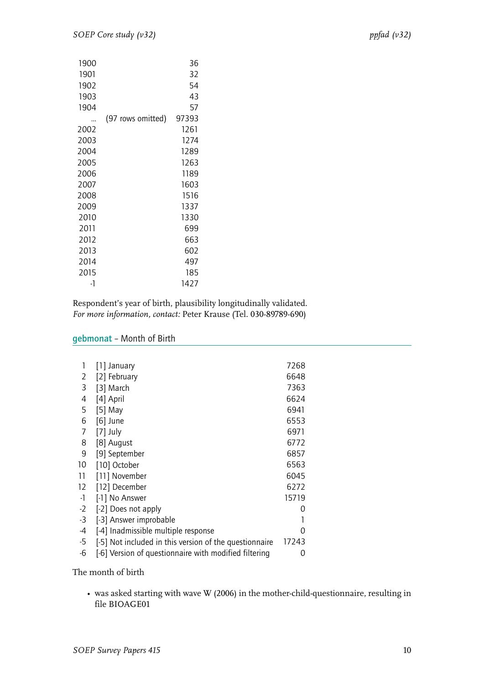| 1900 |                   | 36    |
|------|-------------------|-------|
| 1901 |                   | 32    |
| 1902 |                   | 54    |
| 1903 |                   | 43    |
| 1904 |                   | 57    |
|      | (97 rows omitted) | 97393 |
| 2002 |                   | 1261  |
| 2003 |                   | 1274  |
| 2004 |                   | 1289  |
| 2005 |                   | 1263  |
| 2006 |                   | 1189  |
| 2007 |                   | 1603  |
| 2008 |                   | 1516  |
| 2009 |                   | 1337  |
| 2010 |                   | 1330  |
| 2011 |                   | 699   |
| 2012 |                   | 663   |
| 2013 |                   | 602   |
| 2014 |                   | 497   |
| 2015 |                   | 185   |
| -1   |                   | 1427  |

Respondent's year of birth, plausibility longitudinally validated. *For more information, contact:* Peter Krause (Tel. 030-89789-690)

#### <span id="page-11-0"></span>gebmonat – Month of Birth

| $[1]$ January                                          | 7268  |
|--------------------------------------------------------|-------|
| [2] February                                           | 6648  |
| [3] March                                              | 7363  |
| [4] April                                              | 6624  |
| [5] May                                                | 6941  |
| $[6]$ June                                             | 6553  |
| $[7]$ July                                             | 6971  |
| [8] August                                             | 6772  |
| [9] September                                          | 6857  |
| [10] October                                           | 6563  |
| [11] November                                          | 6045  |
| [12] December                                          | 6272  |
| [-1] No Answer                                         | 15719 |
| [-2] Does not apply                                    | 0     |
| [-3] Answer improbable                                 |       |
| [-4] Inadmissible multiple response                    | 0     |
| [-5] Not included in this version of the questionnaire | 17243 |
| [-6] Version of questionnaire with modified filtering  | 0     |
|                                                        |       |

The month of birth

• was asked starting with wave W (2006) in the mother-child-questionnaire, resulting in file BIOAGE01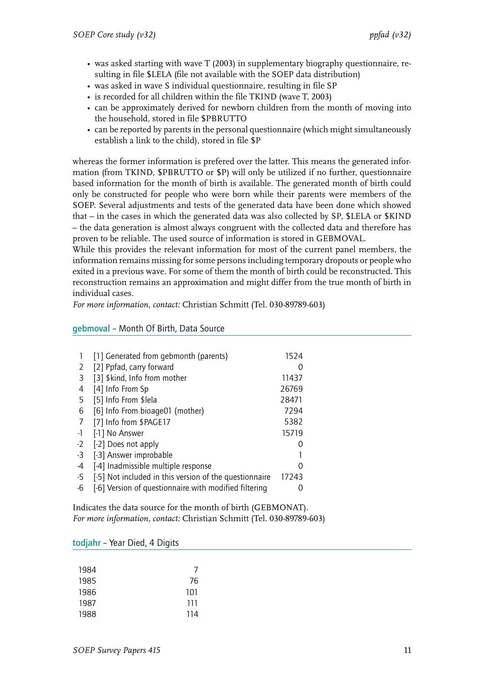- was asked starting with wave T (2003) in supplementary biography questionnaire, resulting in file \$LELA (file not available with the SOEP data distribution)
- was asked in wave S individual questionnaire, resulting in file SP
- is recorded for all children within the file TKIND (wave T, 2003)
- can be approximately derived for newborn children from the month of moving into the household, stored in file \$PBRUTTO
- can be reported by parents in the personal questionnaire (which might simultaneously establish a link to the child), stored in file \$P

whereas the former information is prefered over the latter. This means the generated information (from TKIND, \$PBRUTTO or \$P) will only be utilized if no further, questionnaire based information for the month of birth is available. The generated month of birth could only be constructed for people who were born while their parents were members of the SOEP. Several adjustments and tests of the generated data have been done which showed that – in the cases in which the generated data was also collected by SP, \$LELA or \$KIND – the data generation is almost always congruent with the collected data and therefore has proven to be reliable. The used source of information is stored in GEBMOVAL.

While this provides the relevant information for most of the current panel members, the information remains missing for some persons including temporary dropouts or people who exited in a previous wave. For some of them the month of birth could be reconstructed. This reconstruction remains an approximation and might differ from the true month of birth in individual cases.

*For more information, contact:* Christian Schmitt (Tel. 030-89789-603)

|      | [1] Generated from gebmonth (parents)                  | 1524  |
|------|--------------------------------------------------------|-------|
| 2    | [2] Ppfad, carry forward                               |       |
| 3    | [3] \$kind, Info from mother                           | 11437 |
| 4    | [4] Info From Sp                                       | 26769 |
| 5    | [5] Info From \$lela                                   | 28471 |
| 6    | [6] Info From bioage01 (mother)                        | 7294  |
| 7    | [7] Info from \$PAGE17                                 | 5382  |
| -1   | [-1] No Answer                                         | 15719 |
| $-2$ | [-2] Does not apply                                    |       |
| $-3$ | [-3] Answer improbable                                 |       |
| -4   | [-4] Inadmissible multiple response                    |       |
| -5   | [-5] Not included in this version of the questionnaire | 17243 |
| -6   | [-6] Version of questionnaire with modified filtering  |       |

#### <span id="page-12-0"></span>gebmoval – Month Of Birth, Data Source

Indicates the data source for the month of birth (GEBMONAT). *For more information, contact:* Christian Schmitt (Tel. 030-89789-603)

<span id="page-12-1"></span>

| todjahr - Year Died, 4 Digits |  |  |  |  |
|-------------------------------|--|--|--|--|
|-------------------------------|--|--|--|--|

| 1984 | $\prime$ |
|------|----------|
| 1985 | 76       |
| 1986 | 101      |
| 1987 | 111      |
| 1988 | 114      |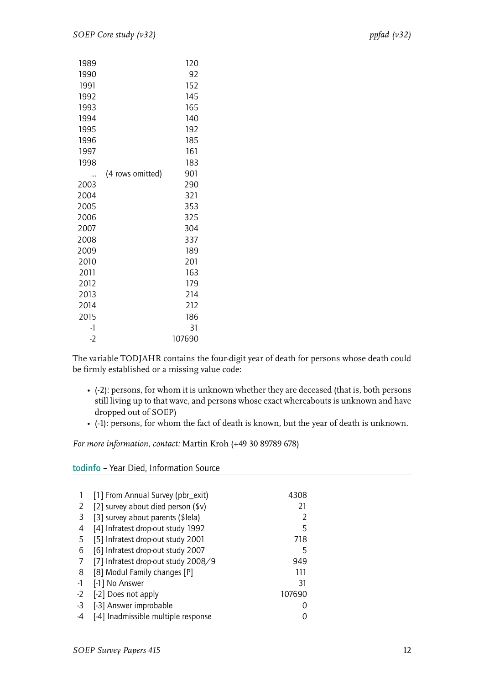| 1989 |                  | 120    |
|------|------------------|--------|
| 1990 |                  | 92     |
| 1991 |                  | 152    |
| 1992 |                  | 145    |
| 1993 |                  | 165    |
| 1994 |                  | 140    |
| 1995 |                  | 192    |
| 1996 |                  | 185    |
| 1997 |                  | 161    |
| 1998 |                  | 183    |
|      | (4 rows omitted) | 901    |
| 2003 |                  | 290    |
| 2004 |                  | 321    |
| 2005 |                  | 353    |
| 2006 |                  | 325    |
| 2007 |                  | 304    |
| 2008 |                  | 337    |
| 2009 |                  | 189    |
| 2010 |                  | 201    |
| 2011 |                  | 163    |
| 2012 |                  | 179    |
| 2013 |                  | 214    |
| 2014 |                  | 212    |
| 2015 |                  | 186    |
| -1   |                  | 31     |
| $-2$ |                  | 107690 |

The variable TODJAHR contains the four-digit year of death for persons whose death could be firmly established or a missing value code:

- (-2): persons, for whom it is unknown whether they are deceased (that is, both persons still living up to that wave, and persons whose exact whereabouts is unknown and have dropped out of SOEP)
- (-1): persons, for whom the fact of death is known, but the year of death is unknown.

*For more information, contact:* Martin Kroh (+49 30 89789 678)

<span id="page-13-0"></span>todinfo – Year Died, Information Source

|    | [1] From Annual Survey (pbr_exit)   | 4308   |
|----|-------------------------------------|--------|
| 2  | [2] survey about died person $(*)$  | 21     |
| 3  | [3] survey about parents (\$lela)   |        |
| 4  | [4] Infratest drop-out study 1992   | 5      |
| 5  | [5] Infratest drop-out study 2001   | 718    |
| 6  | [6] Infratest drop-out study 2007   | 5      |
| 7  | [7] Infratest drop-out study 2008/9 | 949    |
| 8  | [8] Modul Family changes [P]        | 111    |
| -1 | [-1] No Answer                      | 31     |
| -2 | [-2] Does not apply                 | 107690 |
| -3 | [-3] Answer improbable              |        |
| -4 | [-4] Inadmissible multiple response |        |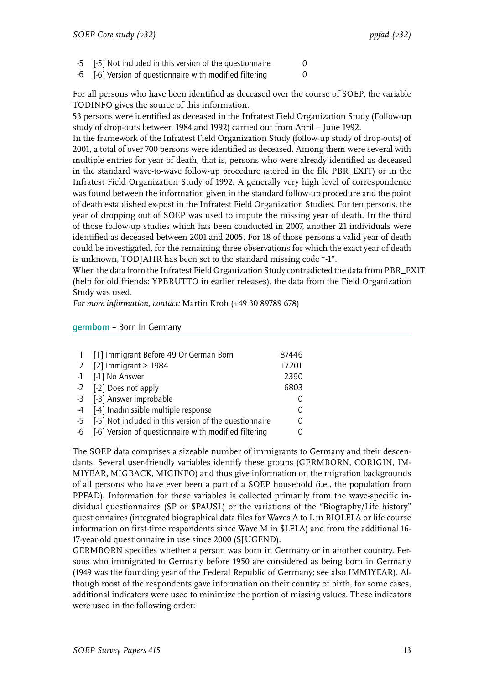$-5$  [ $-5$ ] Not included in this version of the questionnaire  $0$ 

-6 [-6] Version of questionnaire with modified filtering 0

For all persons who have been identified as deceased over the course of SOEP, the variable TODINFO gives the source of this information.

53 persons were identified as deceased in the Infratest Field Organization Study (Follow-up study of drop-outs between 1984 and 1992) carried out from April – June 1992.

In the framework of the Infratest Field Organization Study (follow-up study of drop-outs) of 2001, a total of over 700 persons were identified as deceased. Among them were several with multiple entries for year of death, that is, persons who were already identified as deceased in the standard wave-to-wave follow-up procedure (stored in the file PBR\_EXIT) or in the Infratest Field Organization Study of 1992. A generally very high level of correspondence was found between the information given in the standard follow-up procedure and the point of death established ex-post in the Infratest Field Organization Studies. For ten persons, the year of dropping out of SOEP was used to impute the missing year of death. In the third of those follow-up studies which has been conducted in 2007, another 21 individuals were identified as deceased between 2001 and 2005. For 18 of those persons a valid year of death could be investigated, for the remaining three observations for which the exact year of death is unknown, TODJAHR has been set to the standard missing code "-1".

When the data from the Infratest Field Organization Study contradicted the data from PBR\_EXIT (help for old friends: YPBRUTTO in earlier releases), the data from the Field Organization Study was used.

*For more information, contact:* Martin Kroh (+49 30 89789 678)

<span id="page-14-0"></span>germborn – Born In Germany

|      | [1] Immigrant Before 49 Or German Born                 | 87446            |
|------|--------------------------------------------------------|------------------|
|      | 2 $[2]$ Immigrant > 1984                               | 17201            |
|      | -1 [-1] No Answer                                      | 2390             |
|      | -2 [-2] Does not apply                                 | 6803             |
|      | -3 [-3] Answer improbable                              |                  |
| -4   | [-4] Inadmissible multiple response                    | $\left( \right)$ |
| $-5$ | [-5] Not included in this version of the questionnaire | 0                |
| -6   | [-6] Version of questionnaire with modified filtering  |                  |

The SOEP data comprises a sizeable number of immigrants to Germany and their descendants. Several user-friendly variables identify these groups (GERMBORN, CORIGIN, IM-MIYEAR, MIGBACK, MIGINFO) and thus give information on the migration backgrounds of all persons who have ever been a part of a SOEP household (i.e., the population from PPFAD). Information for these variables is collected primarily from the wave-specific individual questionnaires (\$P or \$PAUSL) or the variations of the "Biography/Life history" questionnaires (integrated biographical data files for Waves A to L in BIOLELA or life course information on first-time respondents since Wave M in \$LELA) and from the additional 16- 17-year-old questionnaire in use since 2000 (\$JUGEND).

GERMBORN specifies whether a person was born in Germany or in another country. Persons who immigrated to Germany before 1950 are considered as being born in Germany (1949 was the founding year of the Federal Republic of Germany; see also IMMIYEAR). Although most of the respondents gave information on their country of birth, for some cases, additional indicators were used to minimize the portion of missing values. These indicators were used in the following order: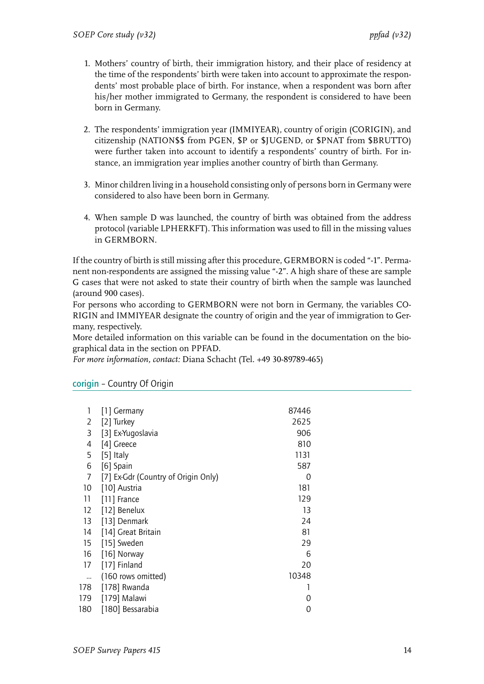- 1. Mothers' country of birth, their immigration history, and their place of residency at the time of the respondents' birth were taken into account to approximate the respondents' most probable place of birth. For instance, when a respondent was born after his/her mother immigrated to Germany, the respondent is considered to have been born in Germany.
- 2. The respondents' immigration year (IMMIYEAR), country of origin (CORIGIN), and citizenship (NATION\$\$ from PGEN, \$P or \$JUGEND, or \$PNAT from \$BRUTTO) were further taken into account to identify a respondents' country of birth. For instance, an immigration year implies another country of birth than Germany.
- 3. Minor children living in a household consisting only of persons born in Germany were considered to also have been born in Germany.
- 4. When sample D was launched, the country of birth was obtained from the address protocol (variable LPHERKFT). This information was used to fill in the missing values in GERMBORN.

If the country of birth is still missing after this procedure, GERMBORN is coded "-1". Permanent non-respondents are assigned the missing value "-2". A high share of these are sample G cases that were not asked to state their country of birth when the sample was launched (around 900 cases).

For persons who according to GERMBORN were not born in Germany, the variables CO-RIGIN and IMMIYEAR designate the country of origin and the year of immigration to Germany, respectively.

More detailed information on this variable can be found in the documentation on the biographical data in the section on PPFAD.

*For more information, contact:* Diana Schacht (Tel. +49 30-89789-465)

| 1   | [1] Germany                         | 87446 |
|-----|-------------------------------------|-------|
| 2   | [2] Turkey                          | 2625  |
| 3   | [3] Ex-Yugoslavia                   | 906   |
| 4   | [4] Greece                          | 810   |
| 5   | $[5]$ Italy                         | 1131  |
| 6   | [6] Spain                           | 587   |
| 7   | [7] Ex-Gdr (Country of Origin Only) | 0     |
| 10  | [10] Austria                        | 181   |
| 11  | [11] France                         | 129   |
| 12  | [12] Benelux                        | 13    |
| 13  | [13] Denmark                        | 24    |
| 14  | [14] Great Britain                  | 81    |
| 15  | [15] Sweden                         | 29    |
| 16  | [16] Norway                         | 6     |
| 17  | [17] Finland                        | 20    |
|     | (160 rows omitted)                  | 10348 |
| 178 | [178] Rwanda                        |       |
| 179 | [179] Malawi                        | 0     |
| 180 | [180] Bessarabia                    | 0     |
|     |                                     |       |

#### <span id="page-15-0"></span>corigin – Country Of Origin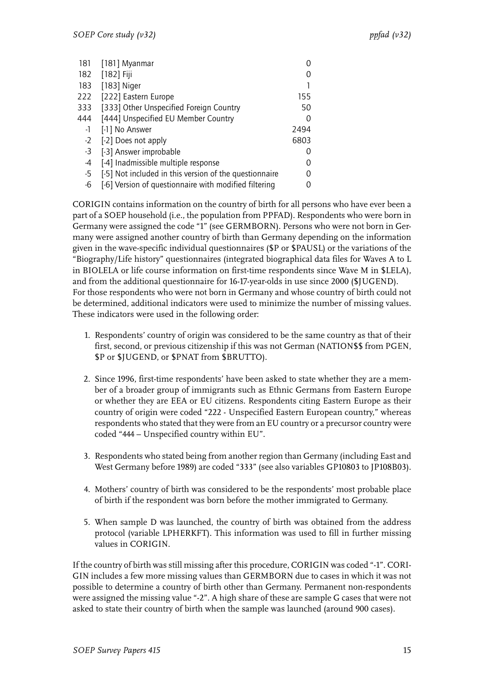| 181  | [181] Myanmar                                          |          |
|------|--------------------------------------------------------|----------|
| 182  | [182] Fiji                                             |          |
| 183  | [183] Niger                                            |          |
| 222  | [222] Eastern Europe                                   | 155      |
| 333  | [333] Other Unspecified Foreign Country                | 50       |
| 444  | [444] Unspecified EU Member Country                    | $\Omega$ |
| -1   | [-1] No Answer                                         | 2494     |
| $-2$ | [-2] Does not apply                                    | 6803     |
| $-3$ | [-3] Answer improbable                                 | 0        |
| -4   | [-4] Inadmissible multiple response                    |          |
| -5   | [-5] Not included in this version of the questionnaire |          |
| -6   | [-6] Version of questionnaire with modified filtering  |          |

CORIGIN contains information on the country of birth for all persons who have ever been a part of a SOEP household (i.e., the population from PPFAD). Respondents who were born in Germany were assigned the code "1" (see GERMBORN). Persons who were not born in Germany were assigned another country of birth than Germany depending on the information given in the wave-specific individual questionnaires (\$P or \$PAUSL) or the variations of the "Biography/Life history" questionnaires (integrated biographical data files for Waves A to L in BIOLELA or life course information on first-time respondents since Wave M in \$LELA), and from the additional questionnaire for 16-17-year-olds in use since 2000 (\$JUGEND). For those respondents who were not born in Germany and whose country of birth could not be determined, additional indicators were used to minimize the number of missing values. These indicators were used in the following order:

- 1. Respondents' country of origin was considered to be the same country as that of their first, second, or previous citizenship if this was not German (NATION\$\$ from PGEN, \$P or \$JUGEND, or \$PNAT from \$BRUTTO).
- 2. Since 1996, first-time respondents' have been asked to state whether they are a member of a broader group of immigrants such as Ethnic Germans from Eastern Europe or whether they are EEA or EU citizens. Respondents citing Eastern Europe as their country of origin were coded "222 - Unspecified Eastern European country," whereas respondents who stated that they were from an EU country or a precursor country were coded "444 – Unspecified country within EU".
- 3. Respondents who stated being from another region than Germany (including East and West Germany before 1989) are coded "333" (see also variables GP10803 to JP108B03).
- 4. Mothers' country of birth was considered to be the respondents' most probable place of birth if the respondent was born before the mother immigrated to Germany.
- 5. When sample D was launched, the country of birth was obtained from the address protocol (variable LPHERKFT). This information was used to fill in further missing values in CORIGIN.

If the country of birth was still missing after this procedure, CORIGIN was coded "-1". CORI-GIN includes a few more missing values than GERMBORN due to cases in which it was not possible to determine a country of birth other than Germany. Permanent non-respondents were assigned the missing value "-2". A high share of these are sample G cases that were not asked to state their country of birth when the sample was launched (around 900 cases).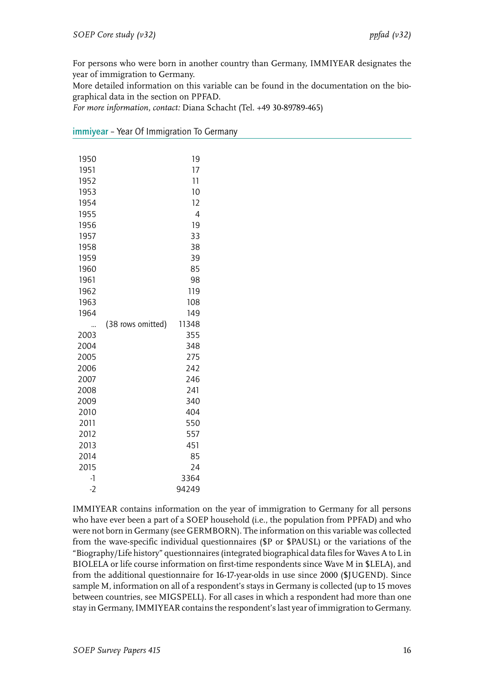For persons who were born in another country than Germany, IMMIYEAR designates the year of immigration to Germany.

More detailed information on this variable can be found in the documentation on the biographical data in the section on PPFAD.

*For more information, contact:* Diana Schacht (Tel. +49 30-89789-465)

| 1950 |                   | 19    |  |
|------|-------------------|-------|--|
| 1951 |                   | 17    |  |
| 1952 |                   | 11    |  |
| 1953 |                   | 10    |  |
| 1954 |                   | 12    |  |
| 1955 |                   | 4     |  |
| 1956 |                   | 19    |  |
| 1957 |                   | 33    |  |
| 1958 |                   | 38    |  |
| 1959 |                   | 39    |  |
| 1960 |                   | 85    |  |
| 1961 |                   | 98    |  |
| 1962 |                   | 119   |  |
| 1963 |                   | 108   |  |
| 1964 |                   | 149   |  |
|      | (38 rows omitted) | 11348 |  |
| 2003 |                   | 355   |  |
| 2004 |                   | 348   |  |
| 2005 |                   | 275   |  |
| 2006 |                   | 242   |  |
| 2007 |                   | 246   |  |
| 2008 |                   | 241   |  |
| 2009 |                   | 340   |  |
| 2010 |                   | 404   |  |
| 2011 |                   | 550   |  |
| 2012 |                   | 557   |  |
| 2013 |                   | 451   |  |
| 2014 |                   | 85    |  |
| 2015 |                   | 24    |  |
| $-1$ |                   | 3364  |  |
| $-2$ |                   | 94249 |  |

<span id="page-17-0"></span>immiyear - Year Of Immigration To Germany

IMMIYEAR contains information on the year of immigration to Germany for all persons who have ever been a part of a SOEP household (i.e., the population from PPFAD) and who were not born in Germany (see GERMBORN). The information on this variable was collected from the wave-specific individual questionnaires (\$P or \$PAUSL) or the variations of the "Biography/Life history" questionnaires (integrated biographical data files for Waves A to L in BIOLELA or life course information on first-time respondents since Wave M in \$LELA), and from the additional questionnaire for 16-17-year-olds in use since 2000 (\$JUGEND). Since sample M, information on all of a respondent's stays in Germany is collected (up to 15 moves between countries, see MIGSPELL). For all cases in which a respondent had more than one stay in Germany, IMMIYEAR contains the respondent's last year of immigration to Germany.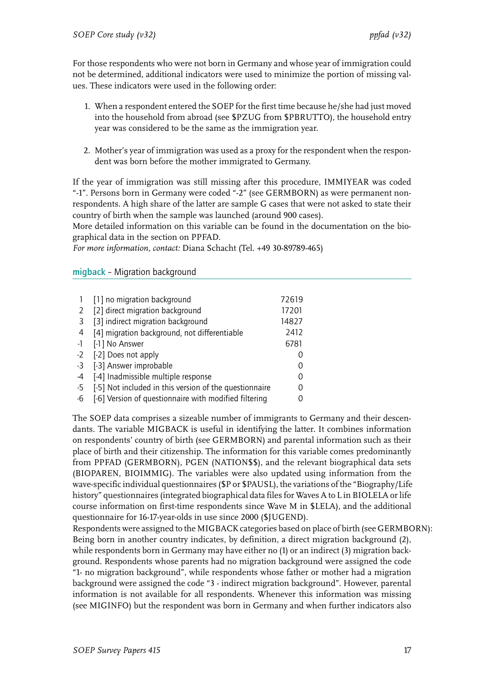For those respondents who were not born in Germany and whose year of immigration could not be determined, additional indicators were used to minimize the portion of missing values. These indicators were used in the following order:

- 1. When a respondent entered the SOEP for the first time because he/she had just moved into the household from abroad (see \$PZUG from \$PBRUTTO), the household entry year was considered to be the same as the immigration year.
- 2. Mother's year of immigration was used as a proxy for the respondent when the respondent was born before the mother immigrated to Germany.

If the year of immigration was still missing after this procedure, IMMIYEAR was coded "-1". Persons born in Germany were coded "-2" (see GERMBORN) as were permanent nonrespondents. A high share of the latter are sample G cases that were not asked to state their country of birth when the sample was launched (around 900 cases).

More detailed information on this variable can be found in the documentation on the biographical data in the section on PPFAD.

*For more information, contact:* Diana Schacht (Tel. +49 30-89789-465)

#### <span id="page-18-0"></span>migback – Migration background

|                | [1] no migration background                            | 72619            |
|----------------|--------------------------------------------------------|------------------|
| 2              | [2] direct migration background                        | 17201            |
| 3              | [3] indirect migration background                      | 14827            |
| $\overline{4}$ | [4] migration background, not differentiable           | 2412             |
| $-1$           | [-1] No Answer                                         | 6781             |
| $-2$           | [-2] Does not apply                                    |                  |
| -3             | [-3] Answer improbable                                 |                  |
| -4             | [-4] Inadmissible multiple response                    | $\left( \right)$ |
| -5             | [-5] Not included in this version of the questionnaire | Ω                |
| -6             | [-6] Version of questionnaire with modified filtering  |                  |

The SOEP data comprises a sizeable number of immigrants to Germany and their descendants. The variable MIGBACK is useful in identifying the latter. It combines information on respondents' country of birth (see GERMBORN) and parental information such as their place of birth and their citizenship. The information for this variable comes predominantly from PPFAD (GERMBORN), PGEN (NATION\$\$), and the relevant biographical data sets (BIOPAREN, BIOIMMIG). The variables were also updated using information from the wave-specific individual questionnaires (\$P or \$PAUSL), the variations of the "Biography/Life history" questionnaires (integrated biographical data files for Waves A to L in BIOLELA or life course information on first-time respondents since Wave M in \$LELA), and the additional questionnaire for 16-17-year-olds in use since 2000 (\$JUGEND).

Respondents were assigned to the MIGBACK categories based on place of birth (see GERMBORN): Being born in another country indicates, by definition, a direct migration background (2), while respondents born in Germany may have either no (1) or an indirect (3) migration background. Respondents whose parents had no migration background were assigned the code "1- no migration background", while respondents whose father or mother had a migration background were assigned the code "3 - indirect migration background". However, parental information is not available for all respondents. Whenever this information was missing (see MIGINFO) but the respondent was born in Germany and when further indicators also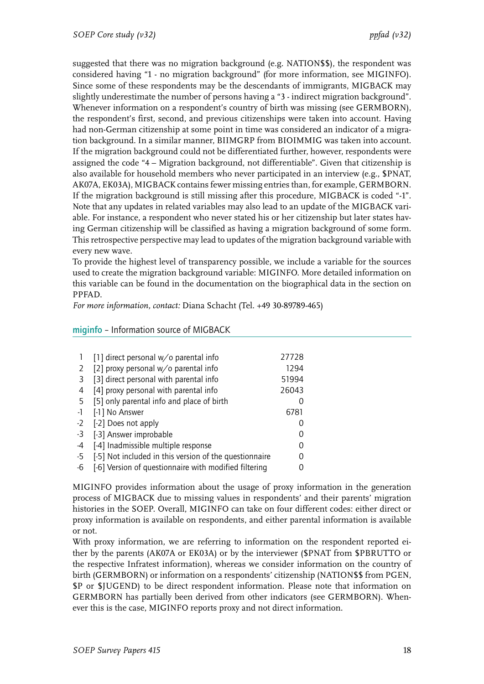suggested that there was no migration background (e.g. NATION\$\$), the respondent was considered having "1 - no migration background" (for more information, see MIGINFO). Since some of these respondents may be the descendants of immigrants, MIGBACK may slightly underestimate the number of persons having a "3 - indirect migration background". Whenever information on a respondent's country of birth was missing (see GERMBORN), the respondent's first, second, and previous citizenships were taken into account. Having had non-German citizenship at some point in time was considered an indicator of a migration background. In a similar manner, BIIMGRP from BIOIMMIG was taken into account. If the migration background could not be differentiated further, however, respondents were assigned the code "4 – Migration background, not differentiable". Given that citizenship is also available for household members who never participated in an interview (e.g., \$PNAT, AK07A, EK03A), MIGBACK contains fewer missing entries than, for example, GERMBORN. If the migration background is still missing after this procedure, MIGBACK is coded "-1". Note that any updates in related variables may also lead to an update of the MIGBACK variable. For instance, a respondent who never stated his or her citizenship but later states having German citizenship will be classified as having a migration background of some form. This retrospective perspective may lead to updates of the migration background variable with every new wave.

To provide the highest level of transparency possible, we include a variable for the sources used to create the migration background variable: MIGINFO. More detailed information on this variable can be found in the documentation on the biographical data in the section on PPFAD.

*For more information, contact:* Diana Schacht (Tel. +49 30-89789-465)

|      | $\lceil 1 \rceil$ direct personal w/o parental info    | 27728 |
|------|--------------------------------------------------------|-------|
|      | [2] proxy personal w/o parental info                   | 1294  |
| 3    | [3] direct personal with parental info                 | 51994 |
| 4    | [4] proxy personal with parental info                  | 26043 |
| 5    | [5] only parental info and place of birth              |       |
| $-1$ | [-1] No Answer                                         | 6781  |
| $-2$ | [-2] Does not apply                                    |       |
| -3   | [-3] Answer improbable                                 |       |
| -4   | [-4] Inadmissible multiple response                    |       |
| -5   | [-5] Not included in this version of the questionnaire |       |
| -6   | [-6] Version of questionnaire with modified filtering  |       |

<span id="page-19-0"></span>miginfo – Information source of MIGBACK

MIGINFO provides information about the usage of proxy information in the generation process of MIGBACK due to missing values in respondents' and their parents' migration histories in the SOEP. Overall, MIGINFO can take on four different codes: either direct or proxy information is available on respondents, and either parental information is available or not.

With proxy information, we are referring to information on the respondent reported either by the parents (AK07A or EK03A) or by the interviewer (\$PNAT from \$PBRUTTO or the respective Infratest information), whereas we consider information on the country of birth (GERMBORN) or information on a respondents' citizenship (NATION\$\$ from PGEN, \$P or \$JUGEND) to be direct respondent information. Please note that information on GERMBORN has partially been derived from other indicators (see GERMBORN). Whenever this is the case, MIGINFO reports proxy and not direct information.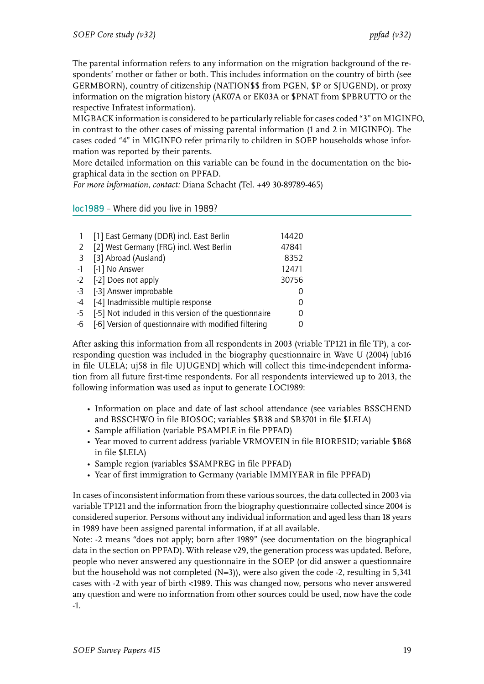The parental information refers to any information on the migration background of the respondents' mother or father or both. This includes information on the country of birth (see GERMBORN), country of citizenship (NATION\$\$ from PGEN, \$P or \$JUGEND), or proxy information on the migration history (AK07A or EK03A or \$PNAT from \$PBRUTTO or the respective Infratest information).

MIGBACK information is considered to be particularly reliable for cases coded "3" on MIGINFO, in contrast to the other cases of missing parental information (1 and 2 in MIGINFO). The cases coded "4" in MIGINFO refer primarily to children in SOEP households whose information was reported by their parents.

More detailed information on this variable can be found in the documentation on the biographical data in the section on PPFAD.

*For more information, contact:* Diana Schacht (Tel. +49 30-89789-465)

loc1989 – Where did you live in 1989?

|                | [1] East Germany (DDR) incl. East Berlin               | 14420 |
|----------------|--------------------------------------------------------|-------|
| 2              | [2] West Germany (FRG) incl. West Berlin               | 47841 |
| $\overline{3}$ | [3] Abroad (Ausland)                                   | 8352  |
| $-1$           | [-1] No Answer                                         | 12471 |
|                | -2 [-2] Does not apply                                 | 30756 |
|                | -3 [-3] Answer improbable                              |       |
| $-4$           | [-4] Inadmissible multiple response                    |       |
| -5             | [-5] Not included in this version of the questionnaire |       |
| -6             | [-6] Version of questionnaire with modified filtering  |       |

After asking this information from all respondents in 2003 (vriable TP121 in file TP), a corresponding question was included in the biography questionnaire in Wave U (2004) [ub16 in file ULELA; uj58 in file UJUGEND] which will collect this time-independent information from all future first-time respondents. For all respondents interviewed up to 2013, the following information was used as input to generate LOC1989:

- Information on place and date of last school attendance (see variables BSSCHEND and BSSCHWO in file BIOSOC; variables \$B38 and \$B3701 in file \$LELA)
- Sample affiliation (variable PSAMPLE in file PPFAD)
- Year moved to current address (variable VRMOVEIN in file BIORESID; variable \$B68 in file \$LELA)
- Sample region (variables \$SAMPREG in file PPFAD)
- Year of first immigration to Germany (variable IMMIYEAR in file PPFAD)

In cases of inconsistent information from these various sources, the data collected in 2003 via variable TP121 and the information from the biography questionnaire collected since 2004 is considered superior. Persons without any individual information and aged less than 18 years in 1989 have been assigned parental information, if at all available.

Note: -2 means "does not apply; born after 1989" (see documentation on the biographical data in the section on PPFAD). With release v29, the generation process was updated. Before, people who never answered any questionnaire in the SOEP (or did answer a questionnaire but the household was not completed (N=3)), were also given the code -2, resulting in 5,341 cases with -2 with year of birth <1989. This was changed now, persons who never answered any question and were no information from other sources could be used, now have the code -1.